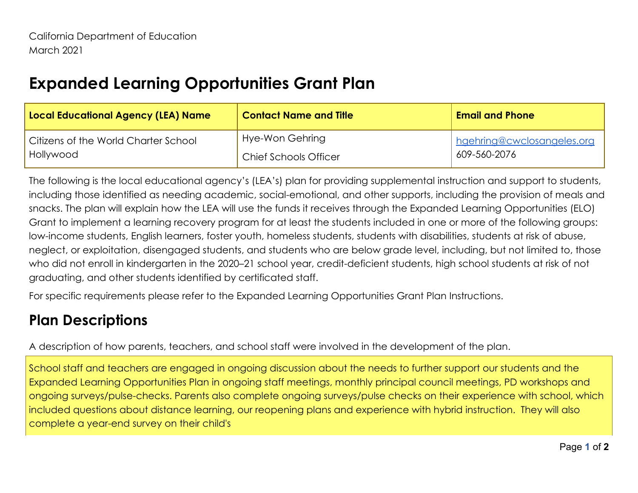# **Expanded Learning Opportunities Grant Plan**

| Local Educational Agency (LEA) Name  | <b>Contact Name and Title</b> | <b>Email and Phone</b>     |
|--------------------------------------|-------------------------------|----------------------------|
| Citizens of the World Charter School | Hye-Won Gehring               | hgehring@cwclosangeles.org |
| <b>Hollywood</b>                     | <b>Chief Schools Officer</b>  | 609-560-2076               |

The following is the local educational agency's (LEA's) plan for providing supplemental instruction and support to students, including those identified as needing academic, social-emotional, and other supports, including the provision of meals and snacks. The plan will explain how the LEA will use the funds it receives through the Expanded Learning Opportunities (ELO) Grant to implement a learning recovery program for at least the students included in one or more of the following groups: low-income students, English learners, foster youth, homeless students, students with disabilities, students at risk of abuse, neglect, or exploitation, disengaged students, and students who are below grade level, including, but not limited to, those who did not enroll in kindergarten in the 2020–21 school year, credit-deficient students, high school students at risk of not graduating, and other students identified by certificated staff.

For specific requirements please refer to the Expanded Learning Opportunities Grant Plan Instructions.

## **Plan Descriptions**

A description of how parents, teachers, and school staff were involved in the development of the plan.

School staff and teachers are engaged in ongoing discussion about the needs to further support our students and the Expanded Learning Opportunities Plan in ongoing staff meetings, monthly principal council meetings, PD workshops and ongoing surveys/pulse-checks. Parents also complete ongoing surveys/pulse checks on their experience with school, which included questions about distance learning, our reopening plans and experience with hybrid instruction. They will also complete a year-end survey on their child's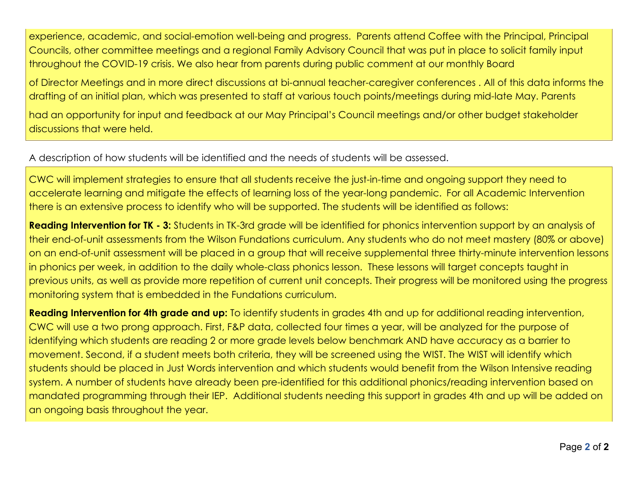experience, academic, and social-emotion well-being and progress. Parents attend Coffee with the Principal, Principal Councils, other committee meetings and a regional Family Advisory Council that was put in place to solicit family input throughout the COVID-19 crisis. We also hear from parents during public comment at our monthly Board

of Director Meetings and in more direct discussions at bi-annual teacher-caregiver conferences. All of this data informs the drafting of an initial plan, which was presented to staff at various touch points/meetings during mid-late May. Parents

had an opportunity for input and feedback at our May Principal's Council meetings and/or other budget stakeholder discussions that were held.

A description of how students will be identified and the needs of students will be assessed.

CWC will implement strategies to ensure that all students receive the just-in-time and ongoing support they need to accelerate learning and mitigate the effects of learning loss of the year-long pandemic. For all Academic Intervention there is an extensive process to identify who will be supported. The students will be identified as follows:

Reading Intervention for TK - 3: Students in TK-3rd grade will be identified for phonics intervention support by an analysis of their end-of-unit assessments from the Wilson Fundations curriculum. Any students who do not meet mastery (80% or above) on an end-of-unit assessment will be placed in a group that will receive supplemental three thirty-minute intervention lessons in phonics per week, in addition to the daily whole-class phonics lesson. These lessons will target concepts taught in previous units, as well as provide more repetition of current unit concepts. Their progress will be monitored using the progress monitoring system that is embedded in the Fundations curriculum.

Reading Intervention for 4th grade and up: To identify students in grades 4th and up for additional reading intervention, CWC will use a two prong approach. First, F&P data, collected four times a year, will be analyzed for the purpose of identifying which students are reading 2 or more grade levels below benchmark AND have accuracy as a barrier to movement. Second, if a student meets both criteria, they will be screened using the WIST. The WIST will identify which students should be placed in Just Words intervention and which students would benefit from the Wilson Intensive reading system. A number of students have already been pre-identified for this additional phonics/reading intervention based on mandated programming through their IEP. Additional students needing this support in grades 4th and up will be added on an ongoing basis throughout the year.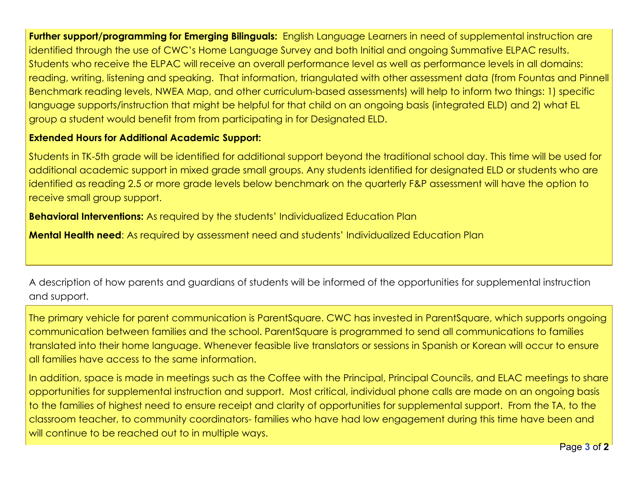Further support/programming for Emerging Bilinguals: English Language Learners in need of supplemental instruction are identified through the use of CWC's Home Language Survey and both Initial and ongoing Summative ELPAC results. Students who receive the ELPAC will receive an overall performance level as well as performance levels in all domains: reading, writing, listening and speaking. That information, triangulated with other assessment data (from Fountas and Pinnell Benchmark reading levels, NWEA Map, and other curriculum-based assessments) will help to inform two things: 1) specific language supports/instruction that might be helpful for that child on an ongoing basis (integrated ELD) and 2) what EL group a student would benefit from from participating in for Designated ELD.

#### **Extended Hours for Additional Academic Support:**

Students in TK-5th grade will be identified for additional support beyond the traditional school day. This time will be used for additional academic support in mixed grade small groups. Any students identified for designated ELD or students who are identified as reading 2.5 or more grade levels below benchmark on the quarterly F&P assessment will have the option to receive small group support.

**Behavioral Interventions:** As required by the students' Individualized Education Plan

**Mental Health need:** As required by assessment need and students' Individualized Education Plan

A description of how parents and guardians of students will be informed of the opportunities for supplemental instruction and support.

The primary vehicle for parent communication is ParentSquare. CWC has invested in ParentSquare, which supports ongoing communication between families and the school. ParentSquare is programmed to send all communications to families translated into their home language. Whenever feasible live translators or sessions in Spanish or Korean will occur to ensure all families have access to the same information.

In addition, space is made in meetings such as the Coffee with the Principal, Principal Councils, and ELAC meetings to share opportunities for supplemental instruction and support. Most critical, individual phone calls are made on an ongoing basis to the families of highest need to ensure receipt and clarity of opportunities for supplemental support. From the TA, to the classroom teacher, to community coordinators- families who have had low engagement during this time have been and will continue to be reached out to in multiple ways.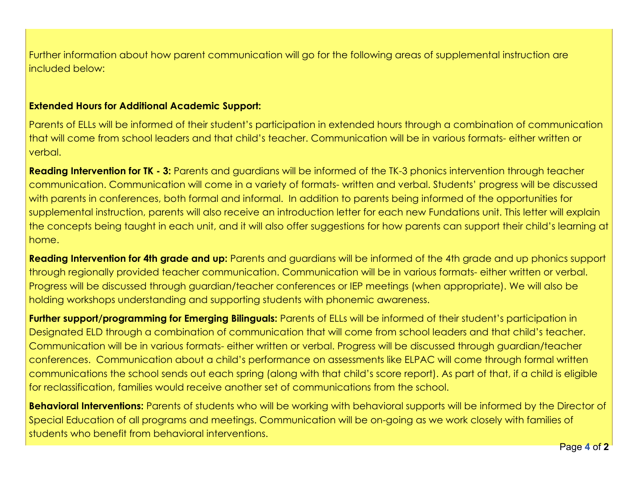Further information about how parent communication will go for the following areas of supplemental instruction are included below:

#### **Extended Hours for Additional Academic Support:**

Parents of ELLs will be informed of their student's participation in extended hours through a combination of communication that will come from school leaders and that child's teacher. Communication will be in various formats-either written or verbal.

Reading Intervention for TK - 3: Parents and guardians will be informed of the TK-3 phonics intervention through teacher communication. Communication will come in a variety of formats-written and verbal. Students' progress will be discussed with parents in conferences, both formal and informal. In addition to parents being informed of the opportunities for supplemental instruction, parents will also receive an introduction letter for each new Fundations unit. This letter will explain the concepts being taught in each unit, and it will also offer suggestions for how parents can support their child's learning at home.

Reading Intervention for 4th grade and up: Parents and guardians will be informed of the 4th grade and up phonics support through regionally provided teacher communication. Communication will be in various formats-either written or verbal. Progress will be discussed through guardian/teacher conferences or IEP meetings (when appropriate). We will also be holding workshops understanding and supporting students with phonemic awareness.

Further support/programming for Emerging Bilinguals: Parents of ELLs will be informed of their student's participation in Designated ELD through a combination of communication that will come from school leaders and that child's teacher. Communication will be in various formats- either written or verbal. Progress will be discussed through guardian/teacher conferences. Communication about a child's performance on assessments like ELPAC will come through formal written communications the school sends out each spring (along with that child's score report). As part of that, if a child is eligible for reclassification, families would receive another set of communications from the school.

Behavioral Interventions: Parents of students who will be working with behavioral supports will be informed by the Director of Special Education of all programs and meetings. Communication will be on-going as we work closely with families of students who benefit from behavioral interventions.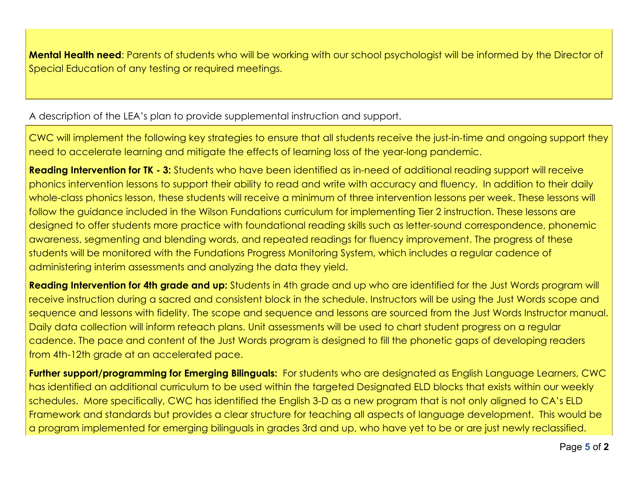Mental Health need: Parents of students who will be working with our school psychologist will be informed by the Director of Special Education of any testing or required meetings.

A description of the LEA's plan to provide supplemental instruction and support.

CWC will implement the following key strategies to ensure that all students receive the just-in-time and ongoing support they need to accelerate learning and mitigate the effects of learning loss of the year-long pandemic.

Reading Intervention for TK - 3: Students who have been identified as in-need of additional reading support will receive phonics intervention lessons to support their ability to read and write with accuracy and fluency. In addition to their daily whole-class phonics lesson, these students will receive a minimum of three intervention lessons per week. These lessons will follow the guidance included in the Wilson Fundations curriculum for implementing Tier 2 instruction. These lessons are designed to offer students more practice with foundational reading skills such as letter-sound correspondence, phonemic awareness, segmenting and blending words, and repeated readings for fluency improvement. The progress of these students will be monitored with the Fundations Progress Monitoring System, which includes a regular cadence of administering interim assessments and analyzing the data they yield.

Reading Intervention for 4th grade and up: Students in 4th grade and up who are identified for the Just Words program will receive instruction during a sacred and consistent block in the schedule. Instructors will be using the Just Words scope and sequence and lessons with fidelity. The scope and sequence and lessons are sourced from the Just Words Instructor manual. Daily data collection will inform reteach plans. Unit assessments will be used to chart student progress on a regular cadence. The pace and content of the Just Words program is designed to fill the phonetic gaps of developing readers from 4th-12th grade at an accelerated pace.

Further support/programming for Emerging Bilinguals: For students who are designated as English Language Learners, CWC has identified an additional curriculum to be used within the targeted Designated ELD blocks that exists within our weekly schedules. More specifically, CWC has identified the English 3-D as a new program that is not only aligned to CA's ELD Framework and standards but provides a clear structure for teaching all aspects of language development. This would be a program implemented for emerging bilinguals in grades 3rd and up, who have yet to be or are just newly reclassified.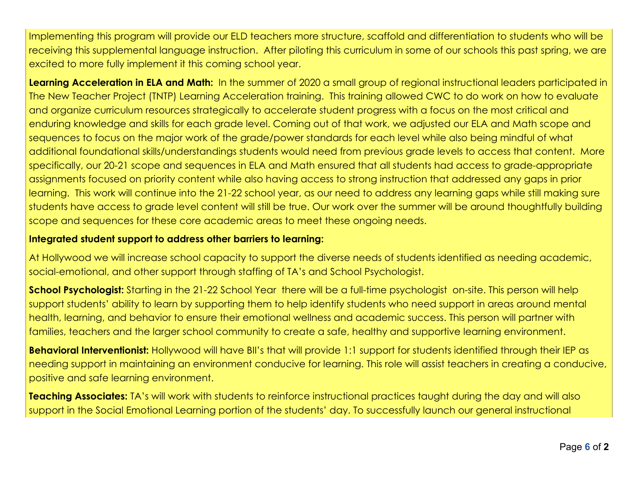Implementing this program will provide our ELD teachers more structure, scaffold and differentiation to students who will be receiving this supplemental language instruction. After piloting this curriculum in some of our schools this past spring, we are excited to more fully implement it this coming school year.

Learning Acceleration in ELA and Math: In the summer of 2020 a small group of regional instructional leaders participated in The New Teacher Project (TNTP) Learning Acceleration training. This training allowed CWC to do work on how to evaluate and organize curriculum resources strategically to accelerate student progress with a focus on the most critical and enduring knowledge and skills for each grade level. Coming out of that work, we adjusted our ELA and Math scope and sequences to focus on the major work of the grade/power standards for each level while also being mindful of what additional foundational skills/understandings students would need from previous grade levels to access that content. More specifically, our 20-21 scope and sequences in ELA and Math ensured that all students had access to grade-appropriate assignments focused on priority content while also having access to strong instruction that addressed any gaps in prior learning. This work will continue into the 21-22 school year, as our need to address any learning gaps while still making sure students have access to grade level content will still be true. Our work over the summer will be around thoughtfully building scope and sequences for these core academic areas to meet these ongoing needs.

#### Integrated student support to address other barriers to learning:

At Hollywood we will increase school capacity to support the diverse needs of students identified as needing academic, social-emotional, and other support through staffing of TA's and School Psychologist.

School Psychologist: Starting in the 21-22 School Year there will be a full-time psychologist on-site. This person will help support students' ability to learn by supporting them to help identify students who need support in areas around mental health, learning, and behavior to ensure their emotional wellness and academic success. This person will partner with families, teachers and the larger school community to create a safe, healthy and supportive learning environment.

Behavioral Interventionist: Hollywood will have BII's that will provide 1:1 support for students identified through their IEP as needing support in maintaining an environment conducive for learning. This role will assist teachers in creating a conducive, positive and safe learning environment.

Teaching Associates: TA's will work with students to reinforce instructional practices taught during the day and will also support in the Social Emotional Learning portion of the students' day. To successfully launch our general instructional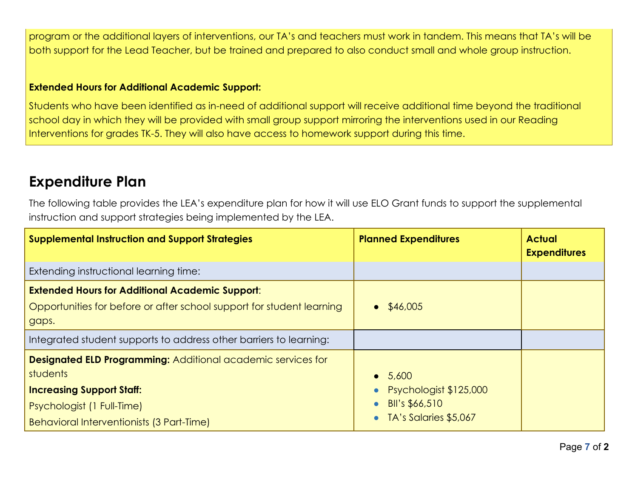program or the additional layers of interventions, our TA's and teachers must work in tandem. This means that TA's will be both support for the Lead Teacher, but be trained and prepared to also conduct small and whole group instruction.

#### **Extended Hours for Additional Academic Support:**

Students who have been identified as in-need of additional support will receive additional time beyond the traditional school day in which they will be provided with small group support mirroring the interventions used in our Reading Interventions for grades TK-5. They will also have access to homework support during this time.

### **Expenditure Plan**

The following table provides the LEA's expenditure plan for how it will use ELO Grant funds to support the supplemental instruction and support strategies being implemented by the LEA.

| <b>Supplemental Instruction and Support Strategies</b>                                                                                                                                         | <b>Planned Expenditures</b>                                                             | <b>Actual</b><br><b>Expenditures</b> |
|------------------------------------------------------------------------------------------------------------------------------------------------------------------------------------------------|-----------------------------------------------------------------------------------------|--------------------------------------|
| Extending instructional learning time:                                                                                                                                                         |                                                                                         |                                      |
| <b>Extended Hours for Additional Academic Support:</b><br>Opportunities for before or after school support for student learning<br>gaps.                                                       | $\bullet$ \$46,005                                                                      |                                      |
| Integrated student supports to address other barriers to learning:                                                                                                                             |                                                                                         |                                      |
| <b>Designated ELD Programming: Additional academic services for</b><br>students<br><b>Increasing Support Staff:</b><br>Psychologist (1 Full-Time)<br>Behavioral Interventionists (3 Part-Time) | 5,600<br>$\bullet$<br>Psychologist \$125,000<br>BII's \$66,510<br>TA's Salaries \$5,067 |                                      |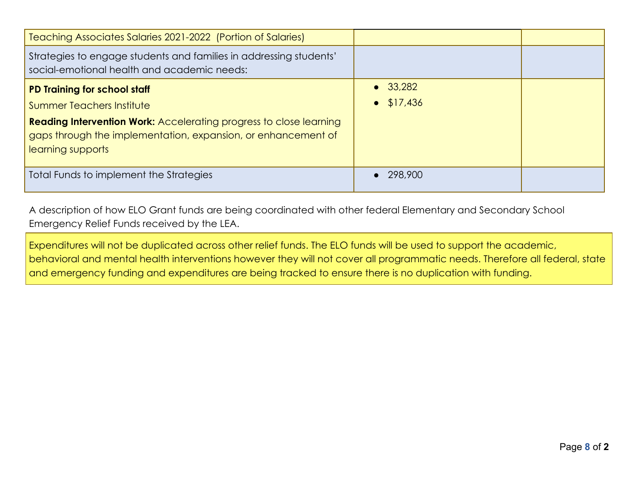| Teaching Associates Salaries 2021-2022 (Portion of Salaries)                                                                                                                                                                 |                                        |  |
|------------------------------------------------------------------------------------------------------------------------------------------------------------------------------------------------------------------------------|----------------------------------------|--|
| Strategies to engage students and families in addressing students'<br>social-emotional health and academic needs:                                                                                                            |                                        |  |
| PD Training for school staff<br>Summer Teachers Institute<br><b>Reading Intervention Work:</b> Accelerating progress to close learning<br>gaps through the implementation, expansion, or enhancement of<br>learning supports | $\bullet$ 33,282<br>$\bullet$ \$17,436 |  |
| Total Funds to implement the Strategies                                                                                                                                                                                      | 298,900                                |  |

A description of how ELO Grant funds are being coordinated with other federal Elementary and Secondary School Emergency Relief Funds received by the LEA.

Expenditures will not be duplicated across other relief funds. The ELO funds will be used to support the academic, behavioral and mental health interventions however they will not cover all programmatic needs. Therefore all federal, state and emergency funding and expenditures are being tracked to ensure there is no duplication with funding.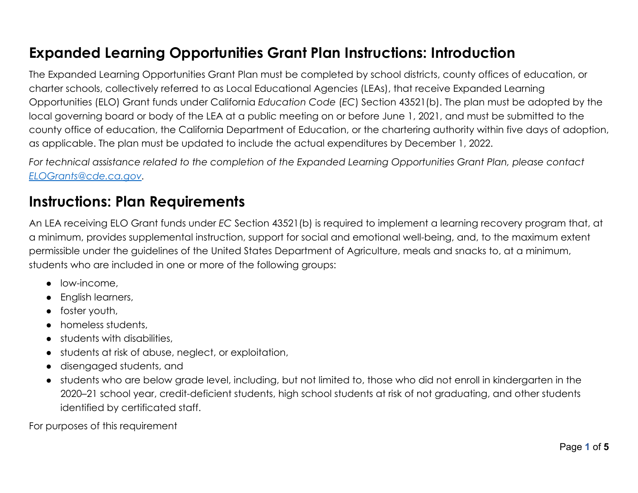## **Expanded Learning Opportunities Grant Plan Instructions: Introduction**

The Expanded Learning Opportunities Grant Plan must be completed by school districts, county offices of education, or charter schools, collectively referred to as Local Educational Agencies (LEAs), that receive Expanded Learning Opportunities (ELO) Grant funds under California Education Code (EC) Section 43521(b). The plan must be adopted by the local governing board or body of the LEA at a public meeting on or before June 1, 2021, and must be submitted to the county office of education, the California Department of Education, or the chartering authority within five days of adoption, as applicable. The plan must be updated to include the actual expenditures by December 1, 2022.

For technical assistance related to the completion of the Expanded Learning Opportunities Grant Plan, please contact ELOGrants@cde.ca.aov.

### **Instructions: Plan Requirements**

An LEA receiving ELO Grant funds under EC Section 43521(b) is required to implement a learning recovery program that, at a minimum, provides supplemental instruction, support for social and emotional well-being, and, to the maximum extent permissible under the quidelines of the United States Department of Agriculture, meals and snacks to, at a minimum, students who are included in one or more of the following groups:

- $\bullet$  low-income.
- English learners,
- $\bullet$  foster youth,
- homeless students,
- students with disabilities,
- students at risk of abuse, neglect, or exploitation,
- · disengaged students, and
- students who are below grade level, including, but not limited to, those who did not enroll in kindergarten in the 2020–21 school year, credit-deficient students, high school students at risk of not graduating, and other students identified by certificated staff.

For purposes of this requirement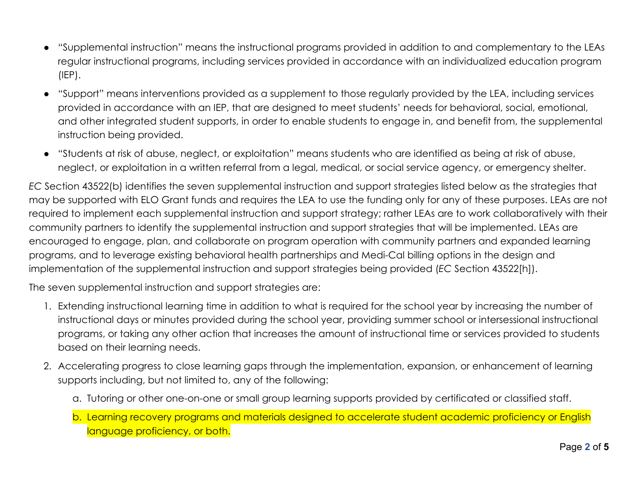- "Supplemental instruction" means the instructional programs provided in addition to and complementary to the LEAs regular instructional programs, including services provided in accordance with an individualized education program  $(IEP)$ .
- "Support" means interventions provided as a supplement to those regularly provided by the LEA, including services provided in accordance with an IEP, that are designed to meet students' needs for behavioral, social, emotional, and other integrated student supports, in order to enable students to engage in, and benefit from, the supplemental instruction being provided.
- "Students at risk of abuse, neglect, or exploitation" means students who are identified as being at risk of abuse, neglect, or exploitation in a written referral from a legal, medical, or social service agency, or emergency shelter.

EC Section 43522(b) identifies the seven supplemental instruction and support strategies listed below as the strategies that may be supported with ELO Grant funds and requires the LEA to use the funding only for any of these purposes. LEAs are not required to implement each supplemental instruction and support strategy; rather LEAs are to work collaboratively with their community partners to identify the supplemental instruction and support strategies that will be implemented. LEAs are encouraged to engage, plan, and collaborate on program operation with community partners and expanded learning programs, and to leverage existing behavioral health partnerships and Medi-Cal billing options in the design and implementation of the supplemental instruction and support strategies being provided (EC Section 43522[h]).

The seven supplemental instruction and support strategies are:

- 1. Extending instructional learning time in addition to what is required for the school year by increasing the number of instructional days or minutes provided during the school year, providing summer school or intersessional instructional programs, or taking any other action that increases the amount of instructional time or services provided to students based on their learning needs.
- 2. Accelerating progress to close learning gaps through the implementation, expansion, or enhancement of learning supports including, but not limited to, any of the following:
	- a. Tutoring or other one-on-one or small group learning supports provided by certificated or classified staff.

b. Learning recovery programs and materials designed to accelerate student academic proficiency or English language proficiency, or both.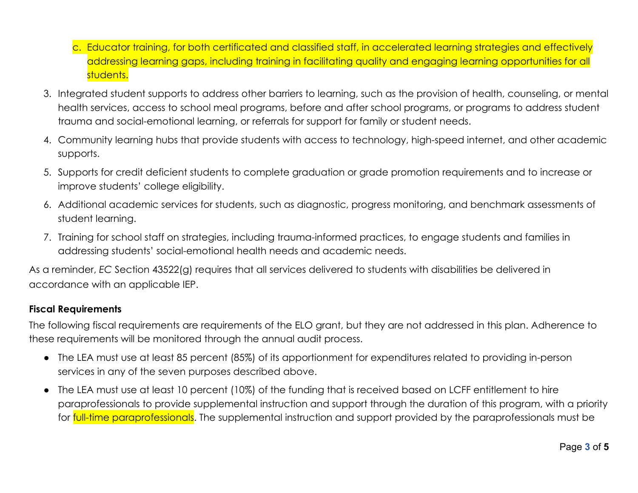- c. Educator training, for both certificated and classified staff, in accelerated learning strategies and effectively addressing learning gaps, including training in facilitating quality and engaging learning opportunities for all students.
- 3. Integrated student supports to address other barriers to learning, such as the provision of health, counseling, or mental health services, access to school meal programs, before and after school programs, or programs to address student trauma and social-emotional learning, or referrals for support for family or student needs.
- 4. Community learning hubs that provide students with access to technology, high-speed internet, and other academic supports.
- 5. Supports for credit deficient students to complete graduation or grade promotion requirements and to increase or improve students' college eligibility.
- 6. Additional academic services for students, such as diagnostic, progress monitoring, and benchmark assessments of student learning.
- 7. Training for school staff on strategies, including trauma-informed practices, to engage students and families in addressing students' social-emotional health needs and academic needs.

As a reminder, EC Section 43522(a) requires that all services delivered to students with disabilities be delivered in accordance with an applicable IEP.

#### **Fiscal Requirements**

The following fiscal requirements are requirements of the ELO grant, but they are not addressed in this plan. Adherence to these requirements will be monitored through the annual audit process.

- The LEA must use at least 85 percent (85%) of its apportionment for expenditures related to providing in-person services in any of the seven purposes described above.
- The LEA must use at least 10 percent (10%) of the funding that is received based on LCFF entitlement to hire paraprofessionals to provide supplemental instruction and support through the duration of this program, with a priority for full-time paraprofessionals. The supplemental instruction and support provided by the paraprofessionals must be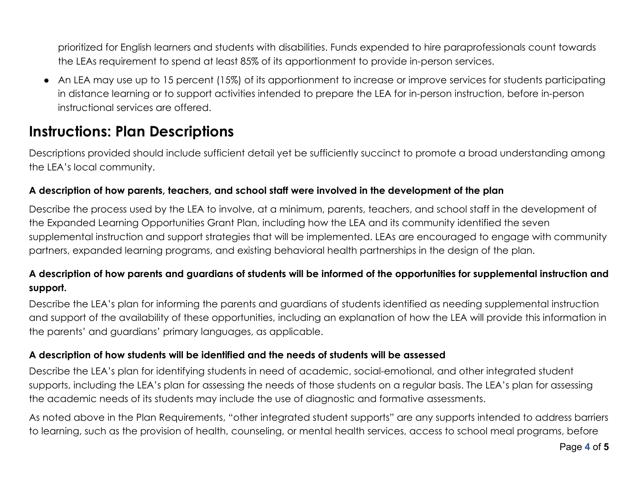prioritized for English learners and students with disabilities. Funds expended to hire paraprofessionals count towards the LEAs requirement to spend at least 85% of its apportionment to provide in-person services.

• An LEA may use up to 15 percent (15%) of its apportionment to increase or improve services for students participating in distance learning or to support activities intended to prepare the LEA for in-person instruction, before in-person instructional services are offered.

## **Instructions: Plan Descriptions**

Descriptions provided should include sufficient detail yet be sufficiently succinct to promote a broad understanding among the LEA's local community.

#### A description of how parents, teachers, and school staff were involved in the development of the plan

Describe the process used by the LEA to involve, at a minimum, parents, teachers, and school staff in the development of the Expanded Learning Opportunities Grant Plan, including how the LEA and its community identified the seven supplemental instruction and support strategies that will be implemented. LEAs are encouraged to engage with community partners, expanded learning programs, and existing behavioral health partnerships in the design of the plan.

### A description of how parents and guardians of students will be informed of the opportunities for supplemental instruction and support.

Describe the LEA's plan for informing the parents and guardians of students identified as needing supplemental instruction and support of the availability of these opportunities, including an explanation of how the LEA will provide this information in the parents' and guardians' primary languages, as applicable.

#### A description of how students will be identified and the needs of students will be assessed

Describe the LEA's plan for identifying students in need of academic, social-emotional, and other integrated student supports, including the LEA's plan for assessing the needs of those students on a regular basis. The LEA's plan for assessing the academic needs of its students may include the use of diagnostic and formative assessments.

As noted above in the Plan Requirements, "other integrated student supports" are any supports intended to address barriers to learning, such as the provision of health, counseling, or mental health services, access to school meal programs, before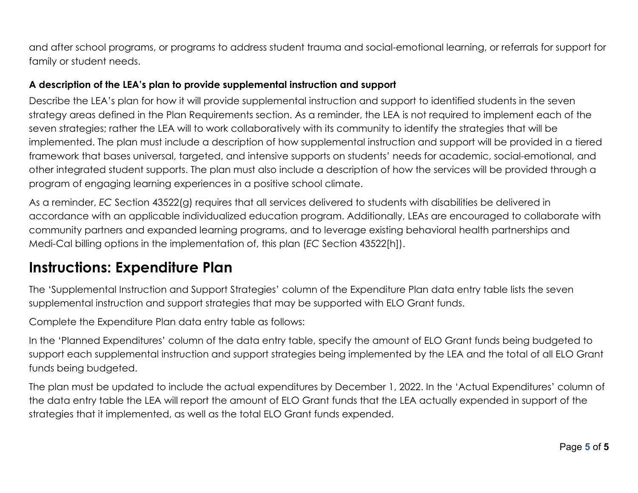and after school programs, or programs to address student trauma and social-emotional learning, or referrals for support for family or student needs.

### A description of the LEA's plan to provide supplemental instruction and support

Describe the LEA's plan for how it will provide supplemental instruction and support to identified students in the seven strategy areas defined in the Plan Requirements section. As a reminder, the LEA is not required to implement each of the seven strategies; rather the LEA will to work collaboratively with its community to identify the strategies that will be implemented. The plan must include a description of how supplemental instruction and support will be provided in a tiered framework that bases universal, targeted, and intensive supports on students' needs for academic, social-emotional, and other integrated student supports. The plan must also include a description of how the services will be provided through a program of engaging learning experiences in a positive school climate.

As a reminder, EC Section 43522(g) requires that all services delivered to students with disabilities be delivered in accordance with an applicable individualized education program. Additionally, LEAs are encouraged to collaborate with community partners and expanded learning programs, and to leverage existing behavioral health partnerships and Medi-Cal billing options in the implementation of, this plan (EC Section 43522[h]).

# **Instructions: Expenditure Plan**

The 'Supplemental Instruction and Support Strategies' column of the Expenditure Plan data entry table lists the seven supplemental instruction and support strategies that may be supported with ELO Grant funds.

Complete the Expenditure Plan data entry table as follows:

In the 'Planned Expenditures' column of the data entry table, specify the amount of ELO Grant funds being budgeted to support each supplemental instruction and support strategies being implemented by the LEA and the total of all ELO Grant funds being budgeted.

The plan must be updated to include the actual expenditures by December 1, 2022. In the 'Actual Expenditures' column of the data entry table the LEA will report the amount of ELO Grant funds that the LEA actually expended in support of the strategies that it implemented, as well as the total ELO Grant funds expended.